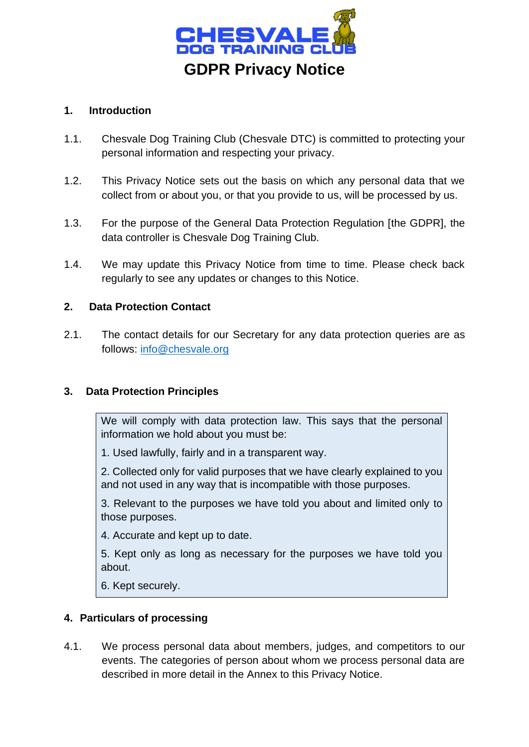

# **1. Introduction**

- 1.1. Chesvale Dog Training Club (Chesvale DTC) is committed to protecting your personal information and respecting your privacy.
- 1.2. This Privacy Notice sets out the basis on which any personal data that we collect from or about you, or that you provide to us, will be processed by us.
- 1.3. For the purpose of the General Data Protection Regulation [the GDPR], the data controller is Chesvale Dog Training Club.
- 1.4. We may update this Privacy Notice from time to time. Please check back regularly to see any updates or changes to this Notice.

## **2. Data Protection Contact**

2.1. The contact details for our Secretary for any data protection queries are as follows: [info@chesvale.org](mailto:info@chesvale.org)

### **3. Data Protection Principles**

We will comply with data protection law. This says that the personal information we hold about you must be:

1. Used lawfully, fairly and in a transparent way.

2. Collected only for valid purposes that we have clearly explained to you and not used in any way that is incompatible with those purposes.

3. Relevant to the purposes we have told you about and limited only to those purposes.

4. Accurate and kept up to date.

5. Kept only as long as necessary for the purposes we have told you about.

6. Kept securely.

### **4. Particulars of processing**

4.1. We process personal data about members, judges, and competitors to our events. The categories of person about whom we process personal data are described in more detail in the Annex to this Privacy Notice.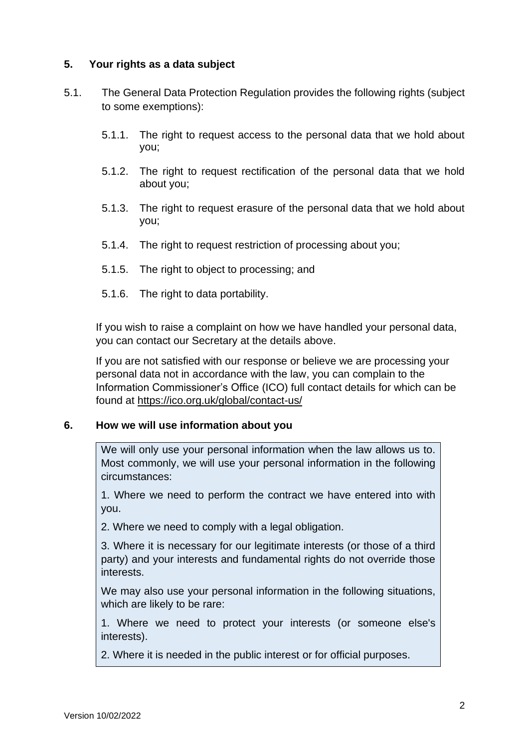## **5. Your rights as a data subject**

- 5.1. The General Data Protection Regulation provides the following rights (subject to some exemptions):
	- 5.1.1. The right to request access to the personal data that we hold about you;
	- 5.1.2. The right to request rectification of the personal data that we hold about you;
	- 5.1.3. The right to request erasure of the personal data that we hold about you;
	- 5.1.4. The right to request restriction of processing about you;
	- 5.1.5. The right to object to processing; and
	- 5.1.6. The right to data portability.

If you wish to raise a complaint on how we have handled your personal data, you can contact our Secretary at the details above.

If you are not satisfied with our response or believe we are processing your personal data not in accordance with the law, you can complain to the Information Commissioner's Office (ICO) full contact details for which can be found at<https://ico.org.uk/global/contact-us/>

### **6. How we will use information about you**

We will only use your personal information when the law allows us to. Most commonly, we will use your personal information in the following circumstances:

1. Where we need to perform the contract we have entered into with you.

2. Where we need to comply with a legal obligation.

3. Where it is necessary for our legitimate interests (or those of a third party) and your interests and fundamental rights do not override those interests.

We may also use your personal information in the following situations, which are likely to be rare:

1. Where we need to protect your interests (or someone else's interests).

2. Where it is needed in the public interest or for official purposes.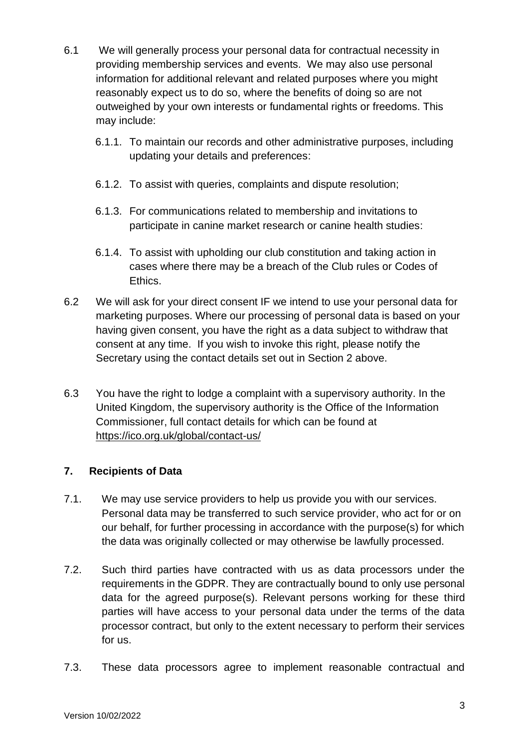- 6.1 We will generally process your personal data for contractual necessity in providing membership services and events. We may also use personal information for additional relevant and related purposes where you might reasonably expect us to do so, where the benefits of doing so are not outweighed by your own interests or fundamental rights or freedoms. This may include:
	- 6.1.1. To maintain our records and other administrative purposes, including updating your details and preferences:
	- 6.1.2. To assist with queries, complaints and dispute resolution;
	- 6.1.3. For communications related to membership and invitations to participate in canine market research or canine health studies:
	- 6.1.4. To assist with upholding our club constitution and taking action in cases where there may be a breach of the Club rules or Codes of Ethics.
- 6.2 We will ask for your direct consent IF we intend to use your personal data for marketing purposes. Where our processing of personal data is based on your having given consent, you have the right as a data subject to withdraw that consent at any time. If you wish to invoke this right, please notify the Secretary using the contact details set out in Section 2 above.
- 6.3 You have the right to lodge a complaint with a supervisory authority. In the United Kingdom, the supervisory authority is the Office of the Information Commissioner, full contact details for which can be found at <https://ico.org.uk/global/contact-us/>

# **7. Recipients of Data**

- 7.1. We may use service providers to help us provide you with our services. Personal data may be transferred to such service provider, who act for or on our behalf, for further processing in accordance with the purpose(s) for which the data was originally collected or may otherwise be lawfully processed.
- 7.2. Such third parties have contracted with us as data processors under the requirements in the GDPR. They are contractually bound to only use personal data for the agreed purpose(s). Relevant persons working for these third parties will have access to your personal data under the terms of the data processor contract, but only to the extent necessary to perform their services for us.
- 7.3. These data processors agree to implement reasonable contractual and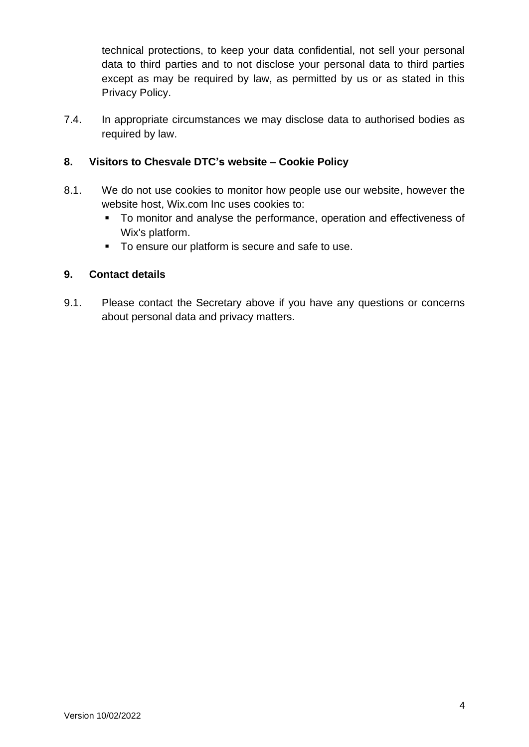technical protections, to keep your data confidential, not sell your personal data to third parties and to not disclose your personal data to third parties except as may be required by law, as permitted by us or as stated in this Privacy Policy.

7.4. In appropriate circumstances we may disclose data to authorised bodies as required by law.

# **8. Visitors to Chesvale DTC's website – Cookie Policy**

- 8.1. We do not use cookies to monitor how people use our website, however the website host, Wix.com Inc uses cookies to:
	- To monitor and analyse the performance, operation and effectiveness of Wix's platform.
	- To ensure our platform is secure and safe to use.

### **9. Contact details**

9.1. Please contact the Secretary above if you have any questions or concerns about personal data and privacy matters.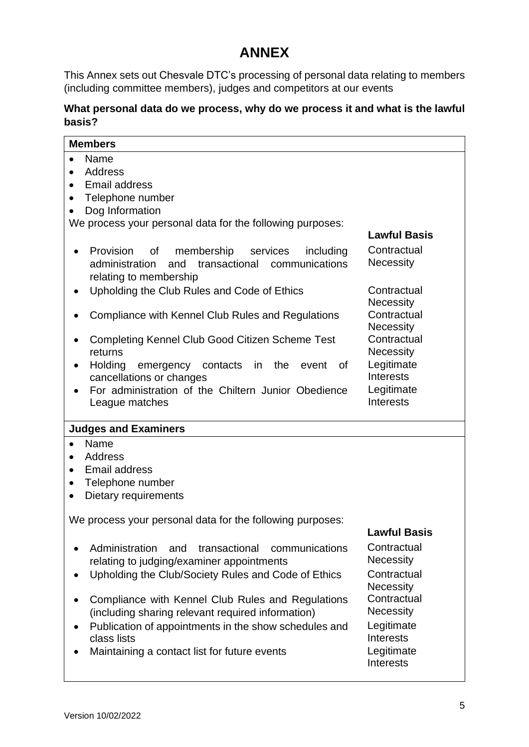# **ANNEX**

This Annex sets out Chesvale DTC's processing of personal data relating to members (including committee members), judges and competitors at our events

# **What personal data do we process, why do we process it and what is the lawful basis?**

| <b>Members</b>                                                                                                                                                                                                                                                                                                                                                                                 |                                                                                                                                                                    |  |  |
|------------------------------------------------------------------------------------------------------------------------------------------------------------------------------------------------------------------------------------------------------------------------------------------------------------------------------------------------------------------------------------------------|--------------------------------------------------------------------------------------------------------------------------------------------------------------------|--|--|
| Name<br>$\bullet$<br><b>Address</b><br>$\bullet$<br><b>Email address</b><br>Telephone number<br>$\bullet$<br>Dog Information<br>We process your personal data for the following purposes:                                                                                                                                                                                                      |                                                                                                                                                                    |  |  |
|                                                                                                                                                                                                                                                                                                                                                                                                | <b>Lawful Basis</b>                                                                                                                                                |  |  |
| membership<br>Provision<br>of<br>services<br>including<br>transactional communications<br>administration<br>and<br>relating to membership                                                                                                                                                                                                                                                      | Contractual<br><b>Necessity</b>                                                                                                                                    |  |  |
| Upholding the Club Rules and Code of Ethics                                                                                                                                                                                                                                                                                                                                                    | Contractual<br><b>Necessity</b>                                                                                                                                    |  |  |
| <b>Compliance with Kennel Club Rules and Regulations</b>                                                                                                                                                                                                                                                                                                                                       | Contractual<br><b>Necessity</b>                                                                                                                                    |  |  |
| Completing Kennel Club Good Citizen Scheme Test<br>returns                                                                                                                                                                                                                                                                                                                                     | Contractual<br><b>Necessity</b>                                                                                                                                    |  |  |
| <b>Holding</b><br>emergency contacts in<br>the<br>0f<br>event<br>cancellations or changes                                                                                                                                                                                                                                                                                                      | Legitimate<br><b>Interests</b>                                                                                                                                     |  |  |
| For administration of the Chiltern Junior Obedience<br>League matches                                                                                                                                                                                                                                                                                                                          | Legitimate<br>Interests                                                                                                                                            |  |  |
| <b>Judges and Examiners</b>                                                                                                                                                                                                                                                                                                                                                                    |                                                                                                                                                                    |  |  |
| Name<br>$\bullet$<br><b>Address</b><br><b>Email address</b><br>$\bullet$<br>Telephone number<br>$\bullet$<br>Dietary requirements<br>$\bullet$                                                                                                                                                                                                                                                 |                                                                                                                                                                    |  |  |
| We process your personal data for the following purposes:<br><b>Lawful Basis</b>                                                                                                                                                                                                                                                                                                               |                                                                                                                                                                    |  |  |
| Administration<br>and<br>transactional<br>communications<br>relating to judging/examiner appointments<br>Upholding the Club/Society Rules and Code of Ethics<br>Compliance with Kennel Club Rules and Regulations<br>(including sharing relevant required information)<br>Publication of appointments in the show schedules and<br>class lists<br>Maintaining a contact list for future events | Contractual<br><b>Necessity</b><br>Contractual<br><b>Necessity</b><br>Contractual<br><b>Necessity</b><br>Legitimate<br>Interests<br>Legitimate<br><b>Interests</b> |  |  |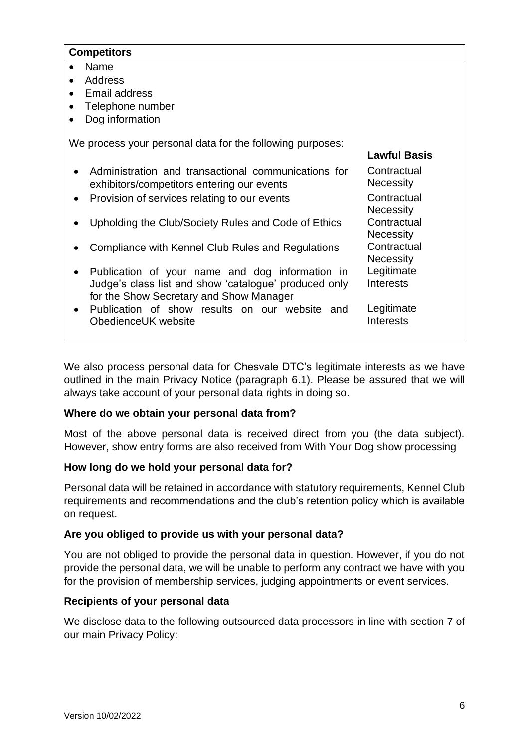### **Competitors**

- Name
- Address
- Email address
- Telephone number
- Dog information

We process your personal data for the following purposes:

|           |                                                                                                                                                     | <b>Lawful Basis</b>             |
|-----------|-----------------------------------------------------------------------------------------------------------------------------------------------------|---------------------------------|
|           | • Administration and transactional communications for<br>exhibitors/competitors entering our events                                                 | Contractual<br><b>Necessity</b> |
| $\bullet$ | Provision of services relating to our events                                                                                                        | Contractual<br><b>Necessity</b> |
|           | Upholding the Club/Society Rules and Code of Ethics                                                                                                 | Contractual<br><b>Necessity</b> |
|           | Compliance with Kennel Club Rules and Regulations                                                                                                   | Contractual<br><b>Necessity</b> |
| $\bullet$ | Publication of your name and dog information in<br>Judge's class list and show 'catalogue' produced only<br>for the Show Secretary and Show Manager | Legitimate<br>Interests         |
|           | • Publication of show results on our website and<br>ObedienceUK website                                                                             | Legitimate<br>Interests         |

We also process personal data for Chesvale DTC's legitimate interests as we have outlined in the main Privacy Notice (paragraph 6.1). Please be assured that we will always take account of your personal data rights in doing so.

### **Where do we obtain your personal data from?**

Most of the above personal data is received direct from you (the data subject). However, show entry forms are also received from With Your Dog show processing

### **How long do we hold your personal data for?**

Personal data will be retained in accordance with statutory requirements, Kennel Club requirements and recommendations and the club's retention policy which is available on request.

### **Are you obliged to provide us with your personal data?**

You are not obliged to provide the personal data in question. However, if you do not provide the personal data, we will be unable to perform any contract we have with you for the provision of membership services, judging appointments or event services.

### **Recipients of your personal data**

We disclose data to the following outsourced data processors in line with section 7 of our main Privacy Policy: